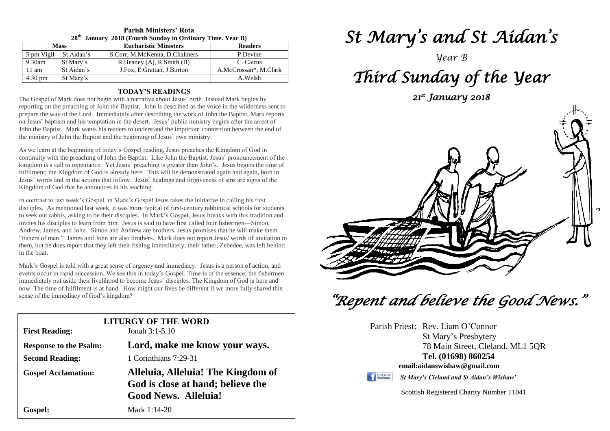| 28 <sup>th</sup> January 2018 (Fourth Sunday in Ordinary Time. Year B) |            |                                  |                       |  |  |  |
|------------------------------------------------------------------------|------------|----------------------------------|-----------------------|--|--|--|
| <b>Mass</b>                                                            |            | <b>Eucharistic Ministers</b>     | <b>Readers</b>        |  |  |  |
| 5 pm Vigil                                                             | St Aidan's | S.Corr, M.McKenna, D.Chalmers    | P.Devine              |  |  |  |
| $9.30$ am                                                              | St Mary's  | R. Heaney $(A)$ , R. Smith $(B)$ | C. Cairns             |  |  |  |
| $11 \text{ am}$                                                        | St Aidan's | J.Fox, E.Grattan, J.Burton       | A.McCrossan*, M.Clark |  |  |  |
| $4.30 \text{ pm}$                                                      | St Mary's  |                                  | A.Welsh               |  |  |  |

# **Parish Ministers' Rota**

#### **TODAY'S READINGS**

The Gospel of Mark does not begin with a narrative about Jesus' birth. Instead Mark begins by reporting on the preaching of John the Baptist. John is described as the voice in the wilderness sent to prepare the way of the Lord. Immediately after describing the work of John the Baptist, Mark reports on Jesus' baptism and his temptation in the desert. Jesus' public ministry begins after the arrest of John the Baptist. Mark wants his readers to understand the important connection between the end of the ministry of John the Baptist and the beginning of Jesus' own ministry.

As we learn at the beginning of today's Gospel reading, Jesus preaches the Kingdom of God in continuity with the preaching of John the Baptist. Like John the Baptist, Jesus' pronouncement of the kingdom is a call to repentance. Yet Jesus' preaching is greater than John's. Jesus begins the time of fulfilment; the Kingdom of God is already here. This will be demonstrated again and again, both in Jesus' words and in the actions that follow. Jesus' healings and forgiveness of sins are signs of the Kingdom of God that he announces in his teaching.

Invites his disciples to learn from him. Jesus is said to have first called four fishermen—simon,<br>Andrew, James, and John. Simon and Andrew are brothers. Jesus promises that he will make them<br>"fishers of men." James and Jo in the boat.<br>
Mark's Gospel is told with a great sense of urgency and immediacy. Jesus is a person of action, and In contrast to last week's Gospel, in Mark's Gospel Jesus takes the initiative in calling his first disciples. As mentioned last week, it was more typical of first-century rabbinical schools for students to seek out rabbis, asking to be their disciples. In Mark's Gospel, Jesus breaks with this tradition and invites his disciples to learn from him. Jesus is said to have first called four fishermen—Simon, "fishers of men." James and John are also brothers. Mark does not report Jesus' words of invitation to them, but he does report that they left their fishing immediately; their father, Zebedee, was left behind in the boat.

events occur in rapid succession. We see this in today's Gospel. Time is of the essence; the fisherme<br>
immediately put aside their livelihood to become Jesus' disciples. The Kingdom of God is here and<br>
now. The time of ful events occur in rapid succession. We see this in today's Gospel. Time is of the essence; the fishermen now. The time of fulfilment is at hand. How might our lives be different if we more fully shared this sense of the immediacy of God's kingdom?

| <b>First Reading:</b>         | <b>LITURGY OF THE WORD</b><br>Jonah $3:1-5.10$                                                         |
|-------------------------------|--------------------------------------------------------------------------------------------------------|
| <b>Response to the Psalm:</b> | Lord, make me know your ways.                                                                          |
| <b>Second Reading:</b>        | 1 Corinthians 7:29-31                                                                                  |
| <b>Gospel Acclamation:</b>    | Alleluia, Alleluia! The Kingdom of<br>God is close at hand; believe the<br><b>Good News. Alleluia!</b> |
| Gospel:                       | Mark 1:14-20                                                                                           |

# *St Mary's and St Aidan's*

*Year B*

# *Third Sunday of the Year*

*21st January 2018* 



 *"Repent and believe the Good News."* 

|                              | Parish Priest: Rev. Liam O'Connor         |  |  |  |  |
|------------------------------|-------------------------------------------|--|--|--|--|
|                              | St Mary's Presbytery                      |  |  |  |  |
|                              | 78 Main Street, Cleland. ML1 5QR          |  |  |  |  |
|                              | Tel. (01698) 860254                       |  |  |  |  |
| email:aidanswishaw@gmail.com |                                           |  |  |  |  |
| Find us on                   | 'St Mary's Cleland and St Aidan's Wishaw' |  |  |  |  |

Scottish Registered Charity Number 11041